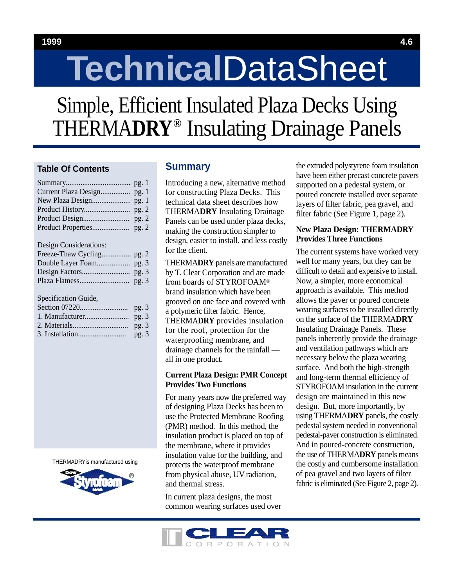## **1999 4.6**

# **Technical**DataSheet

Simple, Efficient Insulated Plaza Decks Using THERMADRY<sup>®</sup> Insulating Drainage Panels

# **Table Of Contents**

|                                                                                                                                                                                                                                                                                                                                                             | pg.1  |  |
|-------------------------------------------------------------------------------------------------------------------------------------------------------------------------------------------------------------------------------------------------------------------------------------------------------------------------------------------------------------|-------|--|
| Current Plaza Design                                                                                                                                                                                                                                                                                                                                        | pg.1  |  |
| New Plaza Design                                                                                                                                                                                                                                                                                                                                            | pg.1  |  |
|                                                                                                                                                                                                                                                                                                                                                             | pg.2  |  |
|                                                                                                                                                                                                                                                                                                                                                             | pg. 2 |  |
| Product Properties                                                                                                                                                                                                                                                                                                                                          | pg. 2 |  |
| Design Considerations:                                                                                                                                                                                                                                                                                                                                      |       |  |
|                                                                                                                                                                                                                                                                                                                                                             |       |  |
|                                                                                                                                                                                                                                                                                                                                                             |       |  |
|                                                                                                                                                                                                                                                                                                                                                             |       |  |
|                                                                                                                                                                                                                                                                                                                                                             | pg.3  |  |
| Specification Guide,                                                                                                                                                                                                                                                                                                                                        |       |  |
|                                                                                                                                                                                                                                                                                                                                                             | pg.3  |  |
|                                                                                                                                                                                                                                                                                                                                                             | pg. 3 |  |
| $\mathcal{L}$ $\mathcal{L}$ $\mathcal{L}$ $\mathcal{L}$ $\mathcal{L}$ $\mathcal{L}$ $\mathcal{L}$ $\mathcal{L}$ $\mathcal{L}$ $\mathcal{L}$ $\mathcal{L}$ $\mathcal{L}$ $\mathcal{L}$ $\mathcal{L}$ $\mathcal{L}$ $\mathcal{L}$ $\mathcal{L}$ $\mathcal{L}$ $\mathcal{L}$ $\mathcal{L}$ $\mathcal{L}$ $\mathcal{L}$ $\mathcal{L}$ $\mathcal{L}$ $\mathcal{$ |       |  |

|  | pg.3 |
|--|------|

THERMADRYis manufactured using



# **Summary**

Introducing a new, alternative method for constructing Plaza Decks. This technical data sheet describes how **THERMADRY** Insulating Drainage Panels can be used under plaza decks, making the construction simpler to design, easier to install, and less costly for the client.

**THERMADRY** panels are manufactured by T. Clear Corporation and are made from boards of STYROFOAM® brand insulation which have been grooved on one face and covered with a polymeric filter fabric. Hence, **THERMADRY** provides insulation for the roof, protection for the waterproofing membrane, and drainage channels for the rainfall all in one product.

## **Current Plaza Design: PMR Concept Provides Two Functions**

For many years now the preferred way of designing Plaza Decks has been to use the Protected Membrane Roofing (PMR) method. In this method, the insulation product is placed on top of the membrane, where it provides insulation value for the building, and protects the waterproof membrane from physical abuse, UV radiation, and thermal stress.

In current plaza designs, the most common wearing surfaces used over the extruded polystyrene foam insulation have been either precast concrete pavers supported on a pedestal system, or poured concrete installed over separate layers of filter fabric, pea gravel, and filter fabric (See Figure 1, page 2).

## **New Plaza Design: THERMADRY Provides Three Functions**

The current systems have worked very well for many years, but they can be difficult to detail and expensive to install. Now, a simpler, more economical approach is available. This method allows the paver or poured concrete wearing surfaces to be installed directly on the surface of the THERMADRY Insulating Drainage Panels. These panels inherently provide the drainage and ventilation pathways which are necessary below the plaza wearing surface. And both the high-strength and long-term thermal efficiency of STYROFOAM insulation in the current design are maintained in this new design. But, more importantly, by using THERMADRY panels, the costly pedestal system needed in conventional pedestal-paver construction is eliminated. And in poured-concrete construction, the use of THERMA**DRY** panels means the costly and cumbersome installation of pea gravel and two layers of filter fabric is eliminated (See Figure 2, page 2).

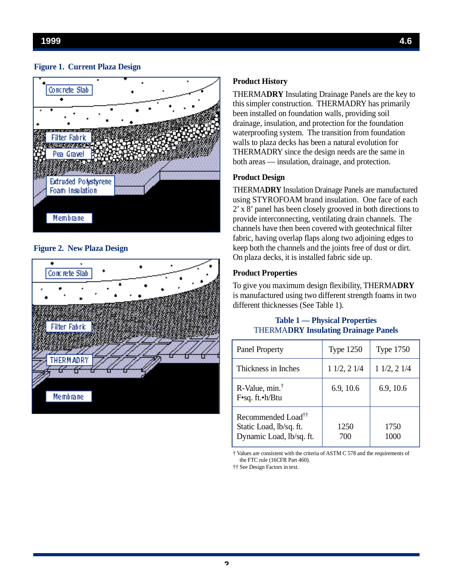

**Figure 2. New Plaza Design** 



# **Product History**

THERMADRY Insulating Drainage Panels are the key to this simpler construction. THERMADRY has primarily been installed on foundation walls, providing soil drainage, insulation, and protection for the foundation waterproofing system. The transition from foundation walls to plaza decks has been a natural evolution for THERMADRY since the design needs are the same in both areas — insulation, drainage, and protection.

## **Product Design**

THERMADRY Insulation Drainage Panels are manufactured using STYROFOAM brand insulation. One face of each  $2'$  x  $8'$  panel has been closely grooved in both directions to provide interconnecting, ventilating drain channels. The channels have then been covered with geotechnical filter fabric, having overlap flaps along two adjoining edges to keep both the channels and the joints free of dust or dirt. On plaza decks, it is installed fabric side up.

### **Product Properties**

To give you maximum design flexibility, THERMADRY is manufactured using two different strength foams in two different thicknesses (See Table 1).

## **Table 1 — Physical Properties THERMADRY Insulating Drainage Panels**

| <b>Panel Property</b>                                                                 | <b>Type 1250</b> | <b>Type 1750</b> |
|---------------------------------------------------------------------------------------|------------------|------------------|
| Thickness in Inches                                                                   | 11/2, 21/4       | $1\ 1/2, 2\ 1/4$ |
| R-Value, $min.^{\dagger}$<br>$F \cdot sq.$ ft. $\cdot h/B$ tu                         | 6.9, 10.6        | 6.9, 10.6        |
| Recommended Load <sup>††</sup><br>Static Load, lb/sq. ft.<br>Dynamic Load, lb/sq. ft. | 1250<br>700      | 1750<br>1000     |

† Values are consistent with the criteria of ASTM C 578 and the requirements of the FTC rule (16CFR Part 460).

†† See Design Factors in text.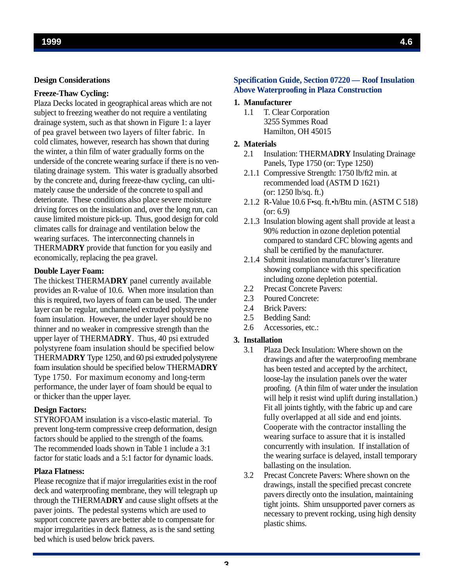#### **Design Considerations**

## **F reeze-Thaw Cycling:**

Plaza Decks located in geographical areas which are not subject to freezing weather do not require a ventilating drainage system, such as that shown in Figure 1: a layer of pea gravel between two layers of filter fabric. In cold climates, however, research has shown that during the winter, a thin film of water gradually forms on the underside of the concrete wearing surface if there is no ventilating drainage system. This water is gradually absorbed by the concrete and, during freeze-thaw cycling, can ultimately cause the underside of the concrete to spall and deteriorate. These conditions also place severe moisture driving forces on the insulation and, over the long run, can cause limited moisture pick-up. Thus, good design for cold climates calls for drainage and ventilation below the wearing surfaces. The interconnecting channels in THERMADRY provide that function for you easily and e conomically, replacing the pea gravel.

#### **Double Layer Foam:**

The thickest THERMADRY panel currently available provides an R-value of 10.6. When more insulation than this is required, two layers of foam can be used. The under layer can be regular, unchanneled extruded polystyrene foam insulation. However, the under layer should be no thinner and no weaker in compressive strength than the upper layer of THERMADRY. Thus, 40 psi extruded polystyrene foam insulation should be specified below THERMA**DRY** Type 1250, and 60 psi extruded polystyrene foam insulation should be specified below THERMADRY Type 1750. For maximum economy and long-term performance, the under layer of foam should be equal to or thicker than the upper layer.

#### **Design Factors:**

STYROFOAM insulation is a visco-elastic material. To prevent long-term compressive creep deformation, design factors should be applied to the strength of the foams. The recommended loads shown in Table 1 include a 3:1 factor for static loads and a 5:1 factor for dynamic loads.

#### **Plaza Flatness:**

Please recognize that if major irregularities exist in the roof deck and waterproofing membrane, they will telegraph up through the THERMA**DRY** and cause slight offsets at the paver joints. The pedestal systems which are used to support concrete pavers are better able to compensate for major irregularities in deck flatness, as is the sand setting bed which is used below brick pavers.

## **Specification Guide, Section 07220 — Roof Insulation Above Waterproofing in Plaza Construction**

## 1. Manufacturer

1.1 T. Clear Corporation 3255 Symmes Road Hamilton, OH 45015

## 2. Materials

- 2.1 Insulation: THERMA**DRY** Insulating Drainage Panels, Type 1750 (or: Type 1250)
- 2.1.1 Compressive Strength: 1750 lb/ft2 min. at recommended load (ASTM D 1621) (or: 1250 lb/sq. ft.)
- 2.1.2 R-Value 10.6 F•sq. ft.•h/Btu min. (ASTM C 518) (or: 6.9)
- 2.1.3 Insulation blowing agent shall provide at least a 90% reduction in ozone depletion potential compared to standard CFC blowing agents and shall be certified by the manufacturer.
- 2.1.4 Submit insulation manufacturer's literature showing compliance with this specification including ozone depletion potential.
- 2.2 Precast Concrete Pavers:
- 2.3 Poured Concrete:
- 2.4 Brick Pavers:
- 2.5 Bedding Sand:
- 2.6 Accessories, etc.:

#### **3.** Installation

- 3.1 Plaza Deck Insulation: Where shown on the drawings and after the waterproofing membrane has been tested and accepted by the architect, loose-lay the insulation panels over the water proofing. (A thin film of water under the insulation will help it resist wind uplift during installation.) Fit all joints tightly, with the fabric up and care fully overlapped at all side and end joints. Cooperate with the contractor installing the wearing surface to assure that it is installed concurrently with insulation. If installation of the wearing surface is delayed, install temporary ballasting on the insulation.
- 3.2 Precast Concrete Pavers: Where shown on the drawings, install the specified precast concrete pavers directly onto the insulation, maintaining tight joints. Shim unsupported paver corners as necessary to prevent rocking, using high density plastic shims.